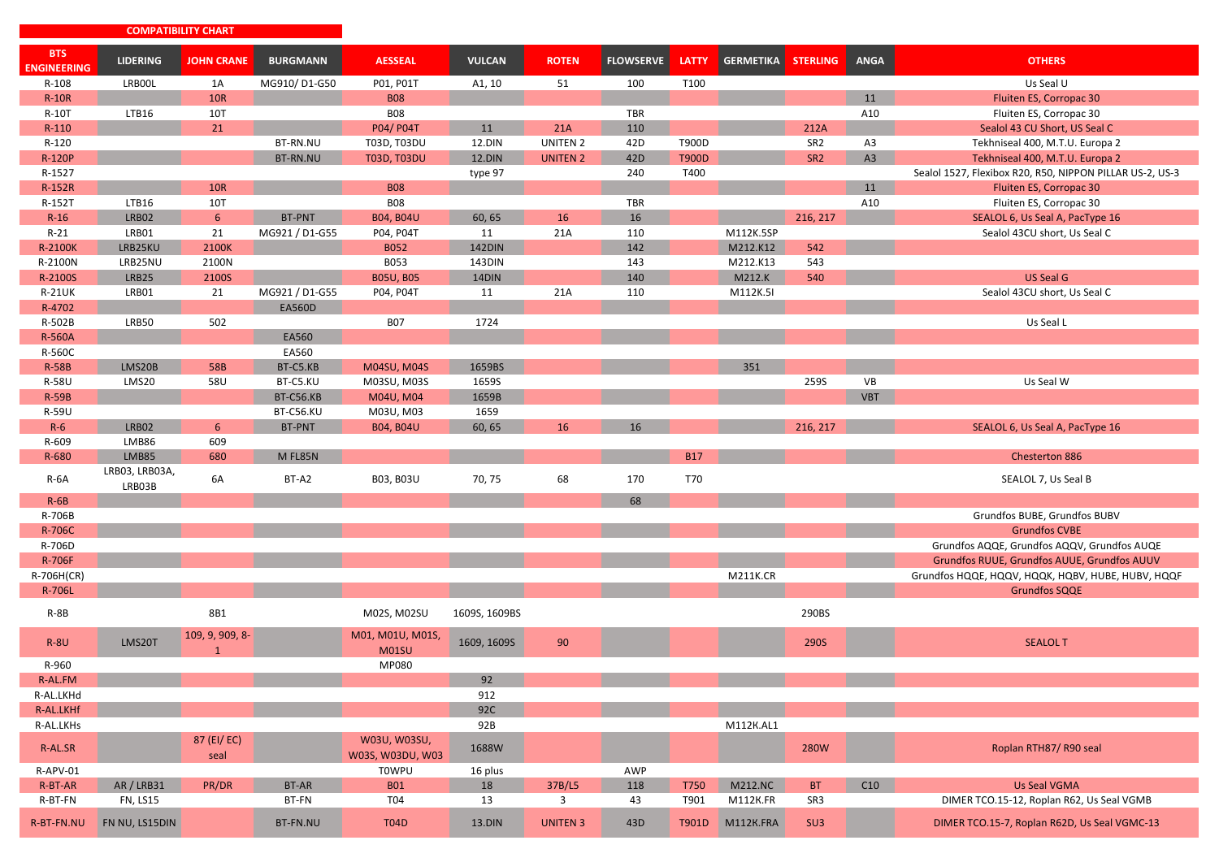|                                  | <b>COMPATIBILITY CHART</b> |                                 |                 |                                  |               |                 |                  |              |                  |                 |             |                                                          |
|----------------------------------|----------------------------|---------------------------------|-----------------|----------------------------------|---------------|-----------------|------------------|--------------|------------------|-----------------|-------------|----------------------------------------------------------|
| <b>BTS</b><br><b>ENGINEERING</b> | <b>LIDERING</b>            | <b>JOHN CRANE</b>               | <b>BURGMANN</b> | <b>AESSEAL</b>                   | <b>VULCAN</b> | <b>ROTEN</b>    | <b>FLOWSERVE</b> | <b>LATTY</b> | <b>GERMETIKA</b> | <b>STERLING</b> | <b>ANGA</b> | <b>OTHERS</b>                                            |
| $R-108$                          | LRB00L                     | 1A                              | MG910/D1-G50    | P01, P01T                        | A1, 10        | 51              | 100              | T100         |                  |                 |             | Us Seal U                                                |
| $R-10R$                          |                            | <b>10R</b>                      |                 | <b>B08</b>                       |               |                 |                  |              |                  |                 | 11          | Fluiten ES, Corropac 30                                  |
| R-10T                            | LTB16                      | 10T                             |                 | <b>B08</b>                       |               |                 | TBR              |              |                  |                 | A10         | Fluiten ES, Corropac 30                                  |
| $R-110$                          |                            | 21                              |                 | P04/ P04T                        | 11            | 21A             | 110              |              |                  | 212A            |             | Sealol 43 CU Short, US Seal C                            |
| R-120                            |                            |                                 | BT-RN.NU        | T03D, T03DU                      | 12.DIN        | UNITEN 2        | 42 <sub>D</sub>  | T900D        |                  | SR <sub>2</sub> | A3          | Tekhniseal 400, M.T.U. Europa 2                          |
| <b>R-120P</b>                    |                            |                                 | BT-RN.NU        | <b>T03D, T03DU</b>               | 12.DIN        | <b>UNITEN 2</b> | 42 <sub>D</sub>  | <b>T900D</b> |                  | SR <sub>2</sub> | A3          | Tekhniseal 400, M.T.U. Europa 2                          |
| R-1527                           |                            |                                 |                 |                                  | type 97       |                 | 240              | T400         |                  |                 |             | Sealol 1527, Flexibox R20, R50, NIPPON PILLAR US-2, US-3 |
| R-152R                           |                            | <b>10R</b>                      |                 | <b>B08</b>                       |               |                 |                  |              |                  |                 | 11          | Fluiten ES, Corropac 30                                  |
| R-152T                           | <b>LTB16</b>               | 10T                             |                 | <b>B08</b>                       |               |                 | TBR              |              |                  |                 | A10         | Fluiten ES, Corropac 30                                  |
| $R-16$                           | LRB02                      | 6 <sup>1</sup>                  | BT-PNT          | <b>B04, B04U</b>                 | 60, 65        | 16              | 16               |              |                  | 216, 217        |             | SEALOL 6, Us Seal A, PacType 16                          |
| R-21                             | LRB01                      | 21                              | MG921 / D1-G55  | P04, P04T                        | 11            | 21A             | 110              |              | M112K.5SP        |                 |             | Sealol 43CU short, Us Seal C                             |
| R-2100K                          | LRB25KU                    | 2100K                           |                 | <b>B052</b>                      | <b>142DIN</b> |                 | 142              |              | M212.K12         | 542             |             |                                                          |
| R-2100N                          | LRB25NU                    | 2100N                           |                 | B053                             | 143DIN        |                 | 143              |              | M212.K13         | 543             |             |                                                          |
| R-2100S                          | LRB25                      | 2100S                           |                 | <b>B05U, B05</b>                 | 14DIN         |                 | 140              |              | M212.K           | 540             |             | <b>US Seal G</b>                                         |
| <b>R-21UK</b>                    | LRB01                      | 21                              | MG921 / D1-G55  | P04, P04T                        | 11            | 21A             | 110              |              | M112K.5I         |                 |             | Sealol 43CU short, Us Seal C                             |
| R-4702                           |                            |                                 | <b>EA560D</b>   |                                  |               |                 |                  |              |                  |                 |             |                                                          |
| R-502B                           | LRB50                      | 502                             |                 | <b>B07</b>                       | 1724          |                 |                  |              |                  |                 |             | Us Seal L                                                |
|                                  |                            |                                 | EA560           |                                  |               |                 |                  |              |                  |                 |             |                                                          |
| <b>R-560A</b>                    |                            |                                 | EA560           |                                  |               |                 |                  |              |                  |                 |             |                                                          |
| R-560C                           |                            |                                 |                 |                                  |               |                 |                  |              |                  |                 |             |                                                          |
| <b>R-58B</b>                     | LMS20B                     | 58B                             | BT-C5.KB        | <b>M04SU, M04S</b>               | 1659BS        |                 |                  |              | 351              |                 |             |                                                          |
| R-58U                            | LMS20                      | 58U                             | BT-C5.KU        | M03SU, M03S                      | 1659S         |                 |                  |              |                  | 259S            | VB          | Us Seal W                                                |
| <b>R-59B</b>                     |                            |                                 | BT-C56.KB       | M04U, M04                        | 1659B         |                 |                  |              |                  |                 | <b>VBT</b>  |                                                          |
| R-59U                            |                            |                                 | BT-C56.KU       | M03U, M03                        | 1659          |                 |                  |              |                  |                 |             |                                                          |
| $R-6$                            | LRB02                      | 6                               | BT-PNT          | <b>B04, B04U</b>                 | 60, 65        | 16              | 16               |              |                  | 216, 217        |             | SEALOL 6, Us Seal A, PacType 16                          |
| R-609                            | LMB86                      | 609                             |                 |                                  |               |                 |                  |              |                  |                 |             |                                                          |
| R-680                            | LMB85                      | 680                             | M FL85N         |                                  |               |                 |                  | <b>B17</b>   |                  |                 |             | Chesterton 886                                           |
| $R-6A$                           | LRB03, LRB03A,<br>LRB03B   | 6A                              | BT-A2           | B03, B03U                        | 70, 75        | 68              | 170              | T70          |                  |                 |             | SEALOL 7, Us Seal B                                      |
| $R-6B$                           |                            |                                 |                 |                                  |               |                 | 68               |              |                  |                 |             |                                                          |
| R-706B                           |                            |                                 |                 |                                  |               |                 |                  |              |                  |                 |             | Grundfos BUBE, Grundfos BUBV                             |
| R-706C                           |                            |                                 |                 |                                  |               |                 |                  |              |                  |                 |             | <b>Grundfos CVBE</b>                                     |
| R-706D                           |                            |                                 |                 |                                  |               |                 |                  |              |                  |                 |             | Grundfos AQQE, Grundfos AQQV, Grundfos AUQE              |
| <b>R-706F</b>                    |                            |                                 |                 |                                  |               |                 |                  |              |                  |                 |             | Grundfos RUUE, Grundfos AUUE, Grundfos AUUV              |
| R-706H(CR)                       |                            |                                 |                 |                                  |               |                 |                  |              | <b>M211K.CR</b>  |                 |             | Grundfos HQQE, HQQV, HQQK, HQBV, HUBE, HUBV, HQQF        |
| <b>R-706L</b>                    |                            |                                 |                 |                                  |               |                 |                  |              |                  |                 |             | <b>Grundfos SQQE</b>                                     |
| $R-8B$                           |                            | 8B1                             |                 | M02S, M02SU                      | 1609S, 1609BS |                 |                  |              |                  | 290BS           |             |                                                          |
| <b>R-8U</b>                      | LMS20T                     | 109, 9, 909, 8-<br>$\mathbf{1}$ |                 | M01, M01U, M01S,<br><b>M01SU</b> | 1609, 1609S   | 90              |                  |              |                  | <b>290S</b>     |             | <b>SEALOL T</b>                                          |
| R-960                            |                            |                                 |                 | MP080                            |               |                 |                  |              |                  |                 |             |                                                          |
| R-AL.FM                          |                            |                                 |                 |                                  | 92            |                 |                  |              |                  |                 |             |                                                          |
| R-AL.LKHd                        |                            |                                 |                 |                                  | 912           |                 |                  |              |                  |                 |             |                                                          |
| R-AL.LKHf                        |                            |                                 |                 |                                  | 92C           |                 |                  |              |                  |                 |             |                                                          |
| R-AL.LKHs                        |                            |                                 |                 |                                  | 92B           |                 |                  |              | M112K.AL1        |                 |             |                                                          |
| R-AL.SR                          |                            | 87 (EI/EC)<br>seal              |                 | W03U, W03SU,<br>W03S, W03DU, W03 | 1688W         |                 |                  |              |                  | <b>280W</b>     |             | Roplan RTH87/R90 seal                                    |
| R-APV-01                         |                            |                                 |                 | <b>TOWPU</b>                     | 16 plus       |                 | AWP              |              |                  |                 |             |                                                          |
| R-BT-AR                          | <b>AR/LRB31</b>            | PR/DR                           | BT-AR           | <b>B01</b>                       | 18            | 37B/L5          | 118              | <b>T750</b>  | <b>M212.NC</b>   | <b>BT</b>       | C10         | Us Seal VGMA                                             |
| R-BT-FN                          | <b>FN, LS15</b>            |                                 | BT-FN           | T04                              | 13            | 3               | 43               | T901         | M112K.FR         | SR3             |             | DIMER TCO.15-12, Roplan R62, Us Seal VGMB                |
| R-BT-FN.NU                       | FN NU, LS15DIN             |                                 | BT-FN.NU        | <b>T04D</b>                      | 13.DIN        | <b>UNITEN 3</b> | 43D              | T901D        | M112K.FRA        | SU <sub>3</sub> |             | DIMER TCO.15-7, Roplan R62D, Us Seal VGMC-13             |